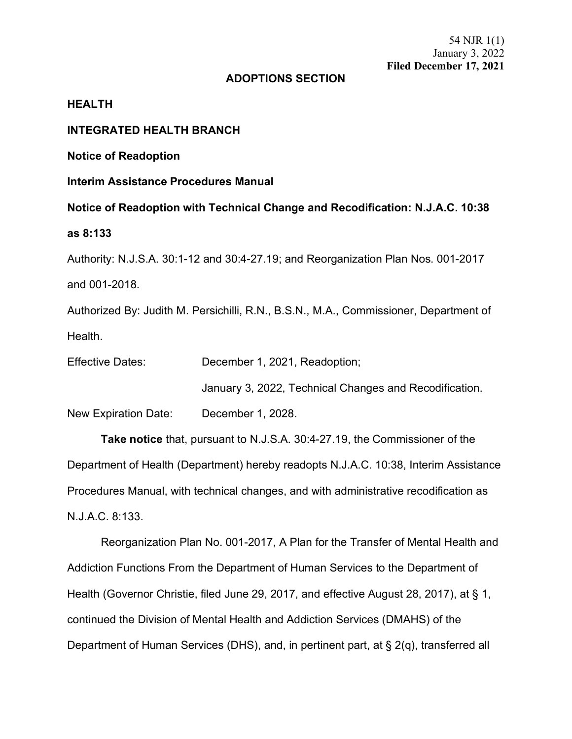## **ADOPTIONS SECTION**

### **HEALTH**

## **INTEGRATED HEALTH BRANCH**

**Notice of Readoption**

**Interim Assistance Procedures Manual**

**Notice of Readoption with Technical Change and Recodification: N.J.A.C. 10:38**

#### **as 8:133**

Authority: N.J.S.A. 30:1-12 and 30:4-27.19; and Reorganization Plan Nos. 001-2017 and 001-2018.

Authorized By: Judith M. Persichilli, R.N., B.S.N., M.A., Commissioner, Department of Health.

Effective Dates: December 1, 2021, Readoption;

January 3, 2022, Technical Changes and Recodification.

New Expiration Date: December 1, 2028.

**Take notice** that, pursuant to N.J.S.A. 30:4-27.19, the Commissioner of the Department of Health (Department) hereby readopts N.J.A.C. 10:38, Interim Assistance Procedures Manual, with technical changes, and with administrative recodification as N.J.A.C. 8:133.

Reorganization Plan No. 001-2017, A Plan for the Transfer of Mental Health and Addiction Functions From the Department of Human Services to the Department of Health (Governor Christie, filed June 29, 2017, and effective August 28, 2017), at § 1, continued the Division of Mental Health and Addiction Services (DMAHS) of the Department of Human Services (DHS), and, in pertinent part, at § 2(q), transferred all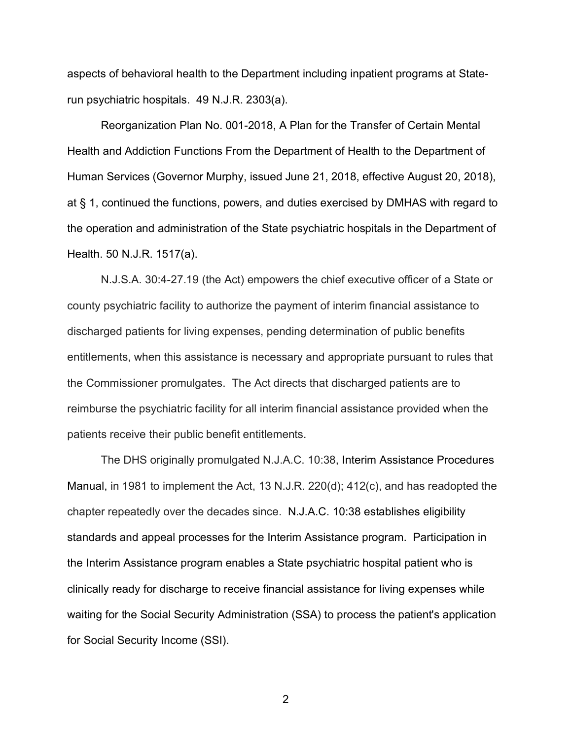aspects of behavioral health to the Department including inpatient programs at Staterun psychiatric hospitals. 49 N.J.R. 2303(a).

Reorganization Plan No. 001-2018, A Plan for the Transfer of Certain Mental Health and Addiction Functions From the Department of Health to the Department of Human Services (Governor Murphy, issued June 21, 2018, effective August 20, 2018), at § 1, continued the functions, powers, and duties exercised by DMHAS with regard to the operation and administration of the State psychiatric hospitals in the Department of Health. 50 N.J.R. 1517(a).

N.J.S.A. 30:4-27.19 (the Act) empowers the chief executive officer of a State or county psychiatric facility to authorize the payment of interim financial assistance to discharged patients for living expenses, pending determination of public benefits entitlements, when this assistance is necessary and appropriate pursuant to rules that the Commissioner promulgates. The Act directs that discharged patients are to reimburse the psychiatric facility for all interim financial assistance provided when the patients receive their public benefit entitlements.

The DHS originally promulgated N.J.A.C. 10:38, Interim Assistance Procedures Manual, in 1981 to implement the Act, 13 N.J.R. 220(d); 412(c), and has readopted the chapter repeatedly over the decades since. N.J.A.C. 10:38 establishes eligibility standards and appeal processes for the Interim Assistance program. Participation in the Interim Assistance program enables a State psychiatric hospital patient who is clinically ready for discharge to receive financial assistance for living expenses while waiting for the Social Security Administration (SSA) to process the patient's application for Social Security Income (SSI).

2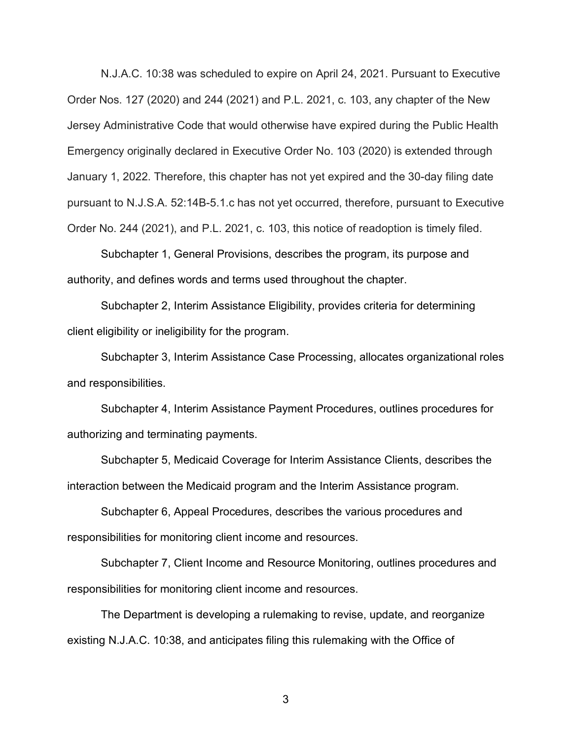N.J.A.C. 10:38 was scheduled to expire on April 24, 2021. Pursuant to Executive Order Nos. 127 (2020) and 244 (2021) and P.L. 2021, c. 103, any chapter of the New Jersey Administrative Code that would otherwise have expired during the Public Health Emergency originally declared in Executive Order No. 103 (2020) is extended through January 1, 2022. Therefore, this chapter has not yet expired and the 30-day filing date pursuant to N.J.S.A. 52:14B-5.1.c has not yet occurred, therefore, pursuant to Executive Order No. 244 (2021), and P.L. 2021, c. 103, this notice of readoption is timely filed.

Subchapter 1, General Provisions, describes the program, its purpose and authority, and defines words and terms used throughout the chapter.

Subchapter 2, Interim Assistance Eligibility, provides criteria for determining client eligibility or ineligibility for the program.

Subchapter 3, Interim Assistance Case Processing, allocates organizational roles and responsibilities.

Subchapter 4, Interim Assistance Payment Procedures, outlines procedures for authorizing and terminating payments.

Subchapter 5, Medicaid Coverage for Interim Assistance Clients, describes the interaction between the Medicaid program and the Interim Assistance program.

Subchapter 6, Appeal Procedures, describes the various procedures and responsibilities for monitoring client income and resources.

Subchapter 7, Client Income and Resource Monitoring, outlines procedures and responsibilities for monitoring client income and resources.

The Department is developing a rulemaking to revise, update, and reorganize existing N.J.A.C. 10:38, and anticipates filing this rulemaking with the Office of

3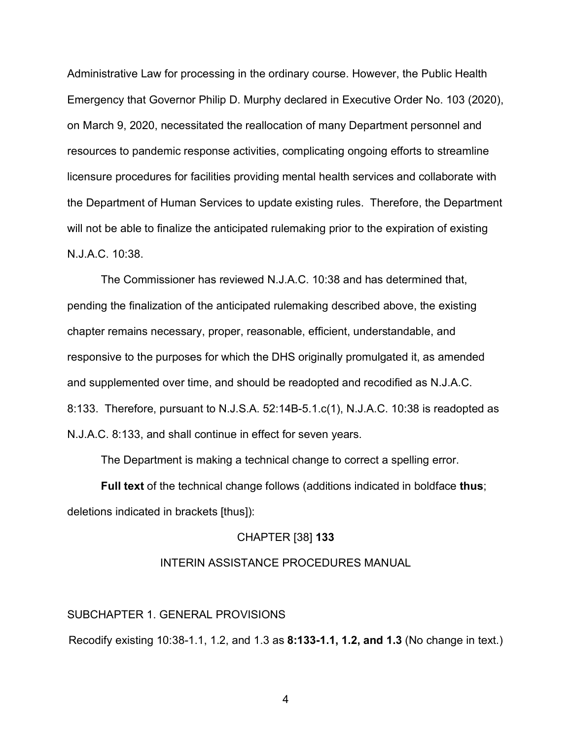Administrative Law for processing in the ordinary course. However, the Public Health Emergency that Governor Philip D. Murphy declared in Executive Order No. 103 (2020), on March 9, 2020, necessitated the reallocation of many Department personnel and resources to pandemic response activities, complicating ongoing efforts to streamline licensure procedures for facilities providing mental health services and collaborate with the Department of Human Services to update existing rules. Therefore, the Department will not be able to finalize the anticipated rulemaking prior to the expiration of existing N.J.A.C. 10:38.

The Commissioner has reviewed N.J.A.C. 10:38 and has determined that, pending the finalization of the anticipated rulemaking described above, the existing chapter remains necessary, proper, reasonable, efficient, understandable, and responsive to the purposes for which the DHS originally promulgated it, as amended and supplemented over time, and should be readopted and recodified as N.J.A.C. 8:133. Therefore, pursuant to N.J.S.A. 52:14B-5.1.c(1), N.J.A.C. 10:38 is readopted as N.J.A.C. 8:133, and shall continue in effect for seven years.

The Department is making a technical change to correct a spelling error.

**Full text** of the technical change follows (additions indicated in boldface **thus**; deletions indicated in brackets [thus]):

#### CHAPTER [38] **133**

### INTERIN ASSISTANCE PROCEDURES MANUAL

SUBCHAPTER 1. GENERAL PROVISIONS

Recodify existing 10:38-1.1, 1.2, and 1.3 as **8:133-1.1, 1.2, and 1.3** (No change in text.)

4